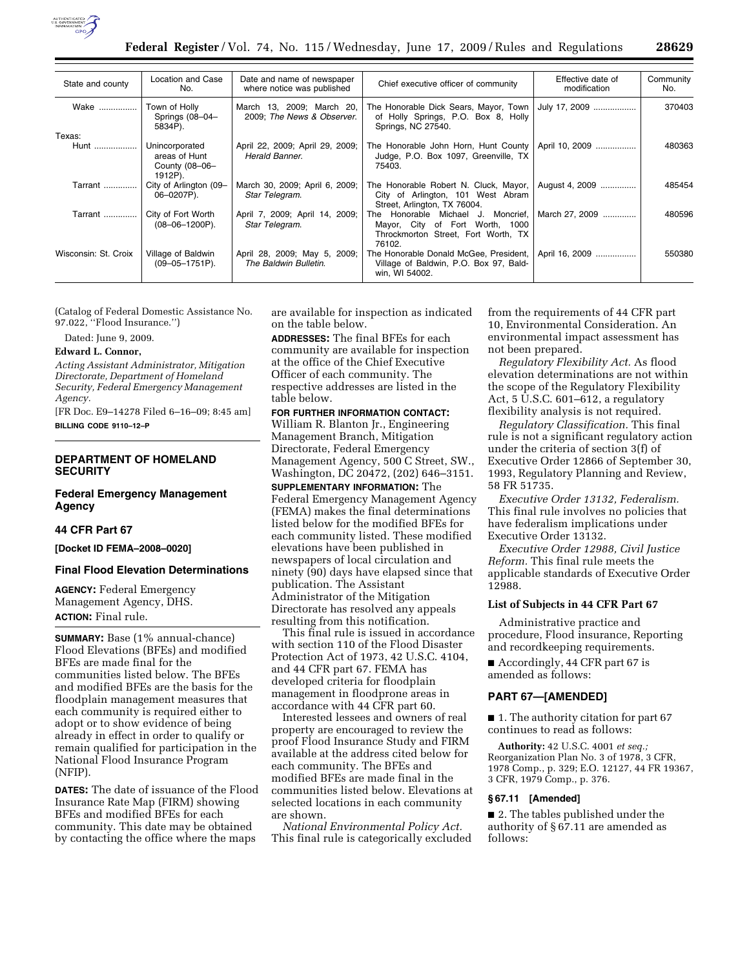

| State and county     | Location and Case<br>No.                                     | Date and name of newspaper<br>where notice was published | Chief executive officer of community                                                                                   | Effective date of<br>modification | Community<br>No. |
|----------------------|--------------------------------------------------------------|----------------------------------------------------------|------------------------------------------------------------------------------------------------------------------------|-----------------------------------|------------------|
| Wake                 | Town of Holly<br>Springs (08-04-<br>5834P).                  | March 13, 2009; March 20,<br>2009; The News & Observer.  | The Honorable Dick Sears, Mayor, Town<br>of Holly Springs, P.O. Box 8, Holly<br>Springs, NC 27540.                     | July 17, 2009                     | 370403           |
| Texas:               |                                                              |                                                          |                                                                                                                        |                                   |                  |
| Hunt                 | Unincorporated<br>areas of Hunt<br>County (08-06-<br>1912P). | April 22, 2009; April 29, 2009;<br>Herald Banner.        | The Honorable John Horn, Hunt County  <br>Judge, P.O. Box 1097, Greenville, TX<br>75403.                               | April 10, 2009                    | 480363           |
| Tarrant              | City of Arlington (09-<br>06-0207P).                         | March 30, 2009; April 6, 2009;<br>Star Telegram.         | The Honorable Robert N. Cluck, Mayor, I<br>City of Arlington, 101 West Abram<br>Street, Arlington, TX 76004.           | August 4, 2009                    | 485454           |
| Tarrant              | City of Fort Worth<br>$(08 - 06 - 1200P)$ .                  | April 7, 2009; April 14, 2009;<br>Star Telegram.         | The Honorable Michael J. Moncrief,<br>Mayor, City of Fort Worth, 1000<br>Throckmorton Street, Fort Worth, TX<br>76102. | March 27, 2009                    | 480596           |
| Wisconsin: St. Croix | Village of Baldwin<br>$(09 - 05 - 1751P)$ .                  | April 28, 2009; May 5, 2009;<br>The Baldwin Bulletin.    | The Honorable Donald McGee, President,  <br>Village of Baldwin, P.O. Box 97, Bald-<br>win, WI 54002.                   | April 16, 2009                    | 550380           |

(Catalog of Federal Domestic Assistance No. 97.022, ''Flood Insurance.'')

Dated: June 9, 2009.

### **Edward L. Connor,**

*Acting Assistant Administrator, Mitigation Directorate, Department of Homeland Security, Federal Emergency Management Agency.* 

[FR Doc. E9–14278 Filed 6–16–09; 8:45 am] **BILLING CODE 9110–12–P** 

## **DEPARTMENT OF HOMELAND SECURITY**

## **Federal Emergency Management Agency**

## **44 CFR Part 67**

**[Docket ID FEMA–2008–0020]** 

### **Final Flood Elevation Determinations**

**AGENCY:** Federal Emergency Management Agency, DHS. **ACTION:** Final rule.

**SUMMARY:** Base (1% annual-chance) Flood Elevations (BFEs) and modified BFEs are made final for the communities listed below. The BFEs and modified BFEs are the basis for the floodplain management measures that each community is required either to adopt or to show evidence of being already in effect in order to qualify or remain qualified for participation in the National Flood Insurance Program (NFIP).

**DATES:** The date of issuance of the Flood Insurance Rate Map (FIRM) showing BFEs and modified BFEs for each community. This date may be obtained by contacting the office where the maps

are available for inspection as indicated on the table below.

**ADDRESSES:** The final BFEs for each community are available for inspection at the office of the Chief Executive Officer of each community. The respective addresses are listed in the table below.

## **FOR FURTHER INFORMATION CONTACT:**

William R. Blanton Jr., Engineering Management Branch, Mitigation Directorate, Federal Emergency Management Agency, 500 C Street, SW., Washington, DC 20472, (202) 646–3151.

**SUPPLEMENTARY INFORMATION:** The Federal Emergency Management Agency (FEMA) makes the final determinations listed below for the modified BFEs for each community listed. These modified elevations have been published in newspapers of local circulation and ninety (90) days have elapsed since that publication. The Assistant Administrator of the Mitigation Directorate has resolved any appeals resulting from this notification.

This final rule is issued in accordance with section 110 of the Flood Disaster Protection Act of 1973, 42 U.S.C. 4104, and 44 CFR part 67. FEMA has developed criteria for floodplain management in floodprone areas in accordance with 44 CFR part 60.

Interested lessees and owners of real property are encouraged to review the proof Flood Insurance Study and FIRM available at the address cited below for each community. The BFEs and modified BFEs are made final in the communities listed below. Elevations at selected locations in each community are shown.

*National Environmental Policy Act.*  This final rule is categorically excluded from the requirements of 44 CFR part 10, Environmental Consideration. An environmental impact assessment has not been prepared.

*Regulatory Flexibility Act.* As flood elevation determinations are not within the scope of the Regulatory Flexibility Act, 5 U.S.C. 601–612, a regulatory flexibility analysis is not required.

*Regulatory Classification.* This final rule is not a significant regulatory action under the criteria of section 3(f) of Executive Order 12866 of September 30, 1993, Regulatory Planning and Review, 58 FR 51735.

*Executive Order 13132, Federalism.*  This final rule involves no policies that have federalism implications under Executive Order 13132.

*Executive Order 12988, Civil Justice Reform.* This final rule meets the applicable standards of Executive Order 12988.

## **List of Subjects in 44 CFR Part 67**

Administrative practice and procedure, Flood insurance, Reporting and recordkeeping requirements.

■ Accordingly, 44 CFR part 67 is amended as follows:

### **PART 67—[AMENDED]**

■ 1. The authority citation for part 67 continues to read as follows:

**Authority:** 42 U.S.C. 4001 *et seq.;*  Reorganization Plan No. 3 of 1978, 3 CFR, 1978 Comp., p. 329; E.O. 12127, 44 FR 19367, 3 CFR, 1979 Comp., p. 376.

## **§ 67.11 [Amended]**

■ 2. The tables published under the authority of § 67.11 are amended as follows: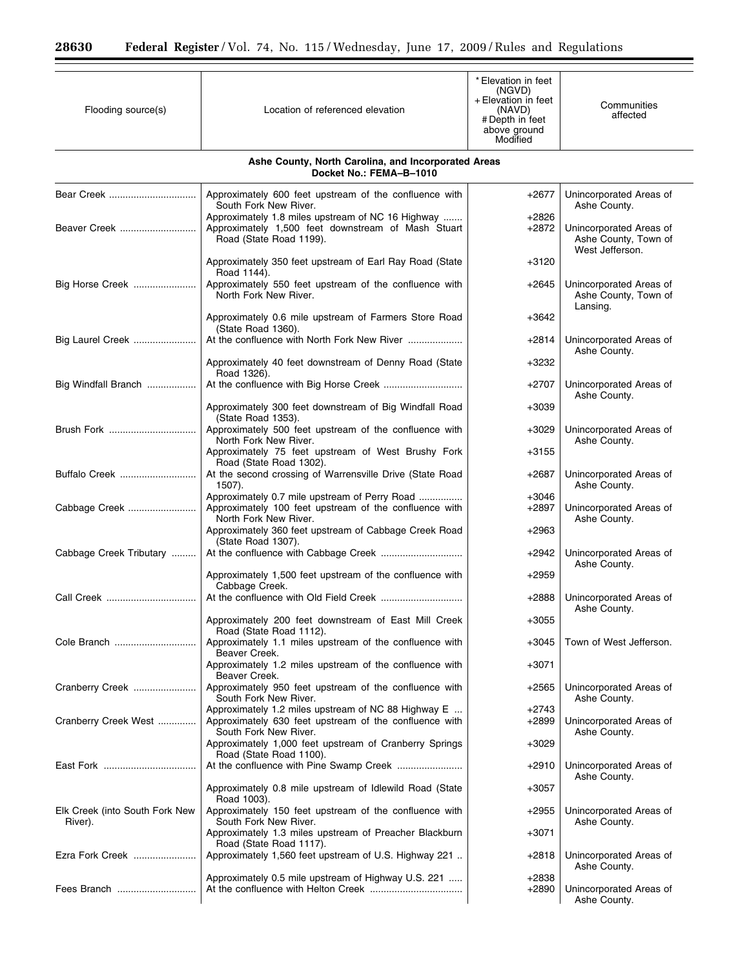| Flooding source(s)                        | Location of referenced elevation                                                                                                           | * Elevation in feet<br>(NGVD)<br>+ Elevation in feet<br>(NAVD)<br># Depth in feet<br>above ground<br>Modified | Communities<br>affected                                            |
|-------------------------------------------|--------------------------------------------------------------------------------------------------------------------------------------------|---------------------------------------------------------------------------------------------------------------|--------------------------------------------------------------------|
|                                           | Ashe County, North Carolina, and Incorporated Areas<br>Docket No.: FEMA-B-1010                                                             |                                                                                                               |                                                                    |
| Bear Creek                                | Approximately 600 feet upstream of the confluence with<br>South Fork New River.                                                            | $+2677$                                                                                                       | Unincorporated Areas of<br>Ashe County.                            |
| Beaver Creek                              | Approximately 1.8 miles upstream of NC 16 Highway<br>Approximately 1,500 feet downstream of Mash Stuart<br>Road (State Road 1199).         | $+2826$<br>+2872                                                                                              | Unincorporated Areas of<br>Ashe County, Town of<br>West Jefferson. |
|                                           | Approximately 350 feet upstream of Earl Ray Road (State<br>Road 1144).                                                                     | +3120                                                                                                         |                                                                    |
| Big Horse Creek                           | Approximately 550 feet upstream of the confluence with<br>North Fork New River.                                                            | $+2645$                                                                                                       | Unincorporated Areas of<br>Ashe County, Town of<br>Lansing.        |
|                                           | Approximately 0.6 mile upstream of Farmers Store Road<br>(State Road 1360).                                                                | $+3642$                                                                                                       |                                                                    |
| Big Laurel Creek                          | At the confluence with North Fork New River                                                                                                | +2814                                                                                                         | Unincorporated Areas of<br>Ashe County.                            |
|                                           | Approximately 40 feet downstream of Denny Road (State<br>Road 1326).                                                                       | $+3232$                                                                                                       |                                                                    |
| Big Windfall Branch                       |                                                                                                                                            | $+2707$                                                                                                       | Unincorporated Areas of<br>Ashe County.                            |
|                                           | Approximately 300 feet downstream of Big Windfall Road<br>(State Road 1353).                                                               | $+3039$                                                                                                       |                                                                    |
| Brush Fork                                | Approximately 500 feet upstream of the confluence with<br>North Fork New River.                                                            | $+3029$                                                                                                       | Unincorporated Areas of<br>Ashe County.                            |
|                                           | Approximately 75 feet upstream of West Brushy Fork<br>Road (State Road 1302).                                                              | $+3155$                                                                                                       |                                                                    |
| Buffalo Creek                             | At the second crossing of Warrensville Drive (State Road<br>1507).                                                                         | $+2687$                                                                                                       | Unincorporated Areas of<br>Ashe County.                            |
| Cabbage Creek                             | Approximately 0.7 mile upstream of Perry Road<br>Approximately 100 feet upstream of the confluence with<br>North Fork New River.           | $+3046$<br>$+2897$                                                                                            | Unincorporated Areas of<br>Ashe County.                            |
|                                           | Approximately 360 feet upstream of Cabbage Creek Road<br>(State Road 1307).                                                                | $+2963$                                                                                                       |                                                                    |
| Cabbage Creek Tributary                   |                                                                                                                                            | $+2942$                                                                                                       | Unincorporated Areas of<br>Ashe County.                            |
|                                           | Approximately 1,500 feet upstream of the confluence with<br>Cabbage Creek.                                                                 | $+2959$                                                                                                       |                                                                    |
| Call Creek                                |                                                                                                                                            | $+2888$                                                                                                       | Unincorporated Areas of<br>Ashe County.                            |
|                                           | Approximately 200 feet downstream of East Mill Creek<br>Road (State Road 1112).                                                            | $+3055$                                                                                                       |                                                                    |
|                                           | Approximately 1.1 miles upstream of the confluence with<br>Beaver Creek.                                                                   | $+3045$                                                                                                       | Town of West Jefferson.                                            |
|                                           | Approximately 1.2 miles upstream of the confluence with<br>Beaver Creek.                                                                   | $+3071$                                                                                                       |                                                                    |
| Cranberry Creek                           | Approximately 950 feet upstream of the confluence with<br>South Fork New River.                                                            | $+2565$                                                                                                       | Unincorporated Areas of<br>Ashe County.                            |
| Cranberry Creek West                      | Approximately 1.2 miles upstream of NC 88 Highway E<br>Approximately 630 feet upstream of the confluence with<br>South Fork New River.     | $+2743$<br>$+2899$                                                                                            | Unincorporated Areas of<br>Ashe County.                            |
|                                           | Approximately 1,000 feet upstream of Cranberry Springs<br>Road (State Road 1100).                                                          | $+3029$                                                                                                       |                                                                    |
|                                           |                                                                                                                                            | $+2910$                                                                                                       | Unincorporated Areas of<br>Ashe County.                            |
|                                           | Approximately 0.8 mile upstream of Idlewild Road (State<br>Road 1003).                                                                     | $+3057$                                                                                                       |                                                                    |
| Elk Creek (into South Fork New<br>River). | Approximately 150 feet upstream of the confluence with<br>South Fork New River.                                                            | $+2955$                                                                                                       | Unincorporated Areas of<br>Ashe County.                            |
| Ezra Fork Creek                           | Approximately 1.3 miles upstream of Preacher Blackburn<br>Road (State Road 1117).<br>Approximately 1,560 feet upstream of U.S. Highway 221 | $+3071$                                                                                                       |                                                                    |
|                                           | Approximately 0.5 mile upstream of Highway U.S. 221                                                                                        | +2818<br>$+2838$                                                                                              | Unincorporated Areas of<br>Ashe County.                            |
| Fees Branch                               |                                                                                                                                            | $+2890$                                                                                                       | Unincorporated Areas of<br>Ashe County.                            |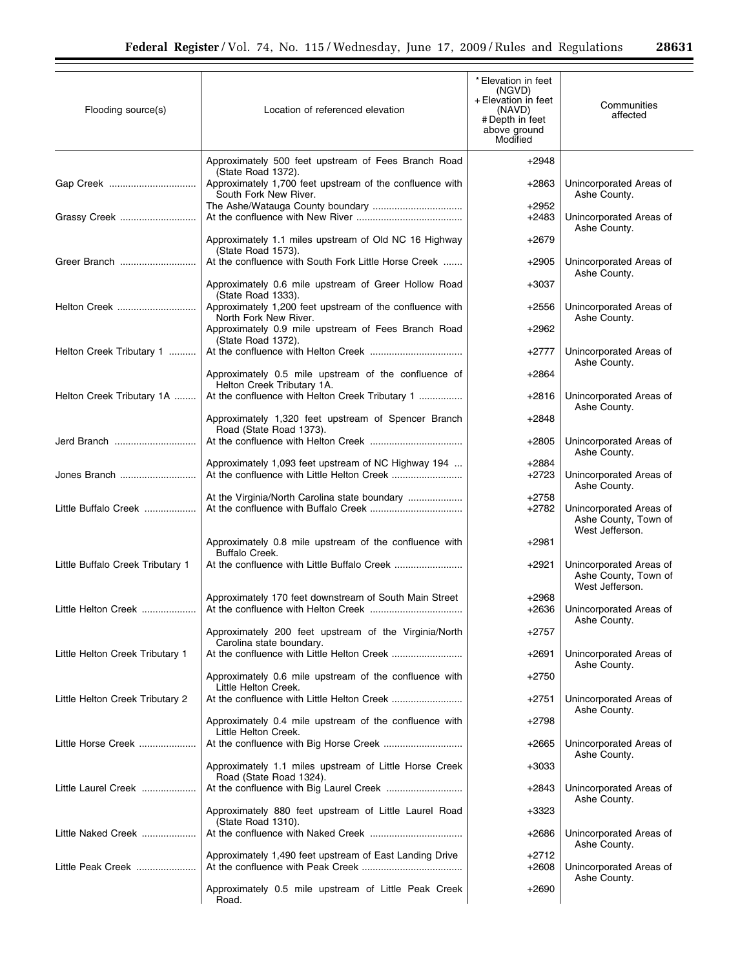| Flooding source(s)               | Location of referenced elevation                                                   | * Elevation in feet<br>(NGVD)<br>+ Elevation in feet<br>(NAVD)<br># Depth in feet<br>above ground<br>Modified | Communities<br>affected                                            |
|----------------------------------|------------------------------------------------------------------------------------|---------------------------------------------------------------------------------------------------------------|--------------------------------------------------------------------|
|                                  | Approximately 500 feet upstream of Fees Branch Road<br>(State Road 1372).          | $+2948$                                                                                                       |                                                                    |
| Gap Creek                        | Approximately 1,700 feet upstream of the confluence with<br>South Fork New River.  | +2863                                                                                                         | Unincorporated Areas of<br>Ashe County.                            |
| Grassy Creek                     |                                                                                    | $+2952$<br>$+2483$                                                                                            | Unincorporated Areas of                                            |
|                                  | Approximately 1.1 miles upstream of Old NC 16 Highway<br>(State Road 1573).        | $+2679$                                                                                                       | Ashe County.                                                       |
| Greer Branch                     | At the confluence with South Fork Little Horse Creek                               | $+2905$                                                                                                       | Unincorporated Areas of<br>Ashe County.                            |
|                                  | Approximately 0.6 mile upstream of Greer Hollow Road<br>(State Road 1333).         | $+3037$                                                                                                       |                                                                    |
| Helton Creek                     | Approximately 1,200 feet upstream of the confluence with<br>North Fork New River.  | $+2556$                                                                                                       | Unincorporated Areas of<br>Ashe County.                            |
|                                  | Approximately 0.9 mile upstream of Fees Branch Road<br>(State Road 1372).          | $+2962$                                                                                                       |                                                                    |
| Helton Creek Tributary 1         |                                                                                    | $+2777$                                                                                                       | Unincorporated Areas of<br>Ashe County.                            |
|                                  | Approximately 0.5 mile upstream of the confluence of<br>Helton Creek Tributary 1A. | $+2864$                                                                                                       |                                                                    |
| Helton Creek Tributary 1A        | At the confluence with Helton Creek Tributary 1                                    | $+2816$                                                                                                       | Unincorporated Areas of<br>Ashe County.                            |
|                                  | Approximately 1,320 feet upstream of Spencer Branch<br>Road (State Road 1373).     | $+2848$                                                                                                       |                                                                    |
| Jerd Branch                      |                                                                                    | $+2805$                                                                                                       | Unincorporated Areas of<br>Ashe County.                            |
| Jones Branch                     | Approximately 1,093 feet upstream of NC Highway 194                                | $+2884$<br>$+2723$                                                                                            | Unincorporated Areas of<br>Ashe County.                            |
| Little Buffalo Creek             |                                                                                    | $+2758$<br>+2782                                                                                              | Unincorporated Areas of<br>Ashe County, Town of<br>West Jefferson. |
|                                  | Approximately 0.8 mile upstream of the confluence with<br>Buffalo Creek.           | $+2981$                                                                                                       |                                                                    |
| Little Buffalo Creek Tributary 1 |                                                                                    | +2921                                                                                                         | Unincorporated Areas of<br>Ashe County, Town of<br>West Jefferson. |
| Little Helton Creek              | Approximately 170 feet downstream of South Main Street                             | $+2968$<br>$+2636$                                                                                            | Unincorporated Areas of<br>Ashe County.                            |
|                                  | Approximately 200 feet upstream of the Virginia/North<br>Carolina state boundary.  | +2757                                                                                                         |                                                                    |
| Little Helton Creek Tributary 1  |                                                                                    | $+2691$                                                                                                       | Unincorporated Areas of<br>Ashe County.                            |
|                                  | Approximately 0.6 mile upstream of the confluence with<br>Little Helton Creek.     | $+2750$                                                                                                       |                                                                    |
| Little Helton Creek Tributary 2  |                                                                                    | $+2751$                                                                                                       | Unincorporated Areas of<br>Ashe County.                            |
|                                  | Approximately 0.4 mile upstream of the confluence with<br>Little Helton Creek.     | $+2798$                                                                                                       |                                                                    |
| Little Horse Creek               |                                                                                    | $+2665$                                                                                                       | Unincorporated Areas of<br>Ashe County.                            |
|                                  | Approximately 1.1 miles upstream of Little Horse Creek<br>Road (State Road 1324).  | $+3033$                                                                                                       |                                                                    |
| Little Laurel Creek              |                                                                                    | +2843                                                                                                         | Unincorporated Areas of<br>Ashe County.                            |
|                                  | Approximately 880 feet upstream of Little Laurel Road<br>(State Road 1310).        | +3323                                                                                                         |                                                                    |
| Little Naked Creek               |                                                                                    | $+2686$                                                                                                       | Unincorporated Areas of<br>Ashe County.                            |
| Little Peak Creek                | Approximately 1,490 feet upstream of East Landing Drive                            | $+2712$<br>$+2608$                                                                                            | Unincorporated Areas of<br>Ashe County.                            |
|                                  | Approximately 0.5 mile upstream of Little Peak Creek<br>Road.                      | $+2690$                                                                                                       |                                                                    |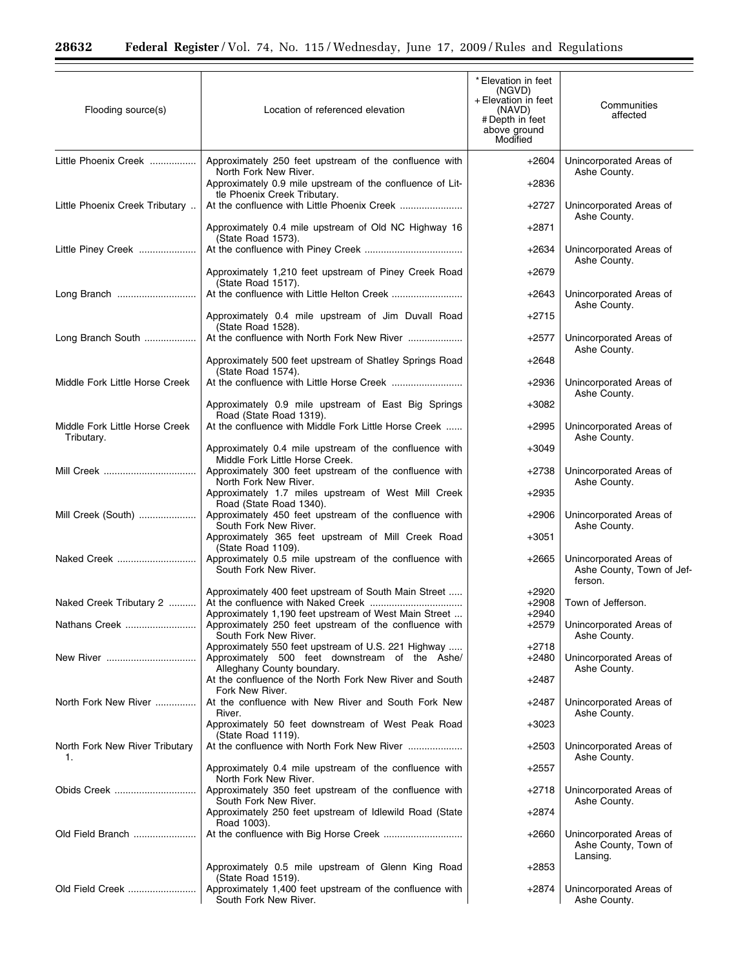Ξ

| Flooding source(s)                           | Location of referenced elevation                                                          | * Elevation in feet<br>(NGVD)<br>+ Elevation in feet<br>(NAVD)<br># Depth in feet<br>above ground<br>Modified | Communities<br>affected                                         |
|----------------------------------------------|-------------------------------------------------------------------------------------------|---------------------------------------------------------------------------------------------------------------|-----------------------------------------------------------------|
| Little Phoenix Creek                         | Approximately 250 feet upstream of the confluence with                                    | $+2604$                                                                                                       | Unincorporated Areas of                                         |
|                                              | North Fork New River.<br>Approximately 0.9 mile upstream of the confluence of Lit-        | $+2836$                                                                                                       | Ashe County.                                                    |
| Little Phoenix Creek Tributary               | tle Phoenix Creek Tributary.                                                              | $+2727$                                                                                                       | Unincorporated Areas of                                         |
|                                              | Approximately 0.4 mile upstream of Old NC Highway 16                                      | +2871                                                                                                         | Ashe County.                                                    |
| Little Piney Creek                           | (State Road 1573).                                                                        | +2634                                                                                                         | Unincorporated Areas of                                         |
|                                              | Approximately 1,210 feet upstream of Piney Creek Road                                     | +2679                                                                                                         | Ashe County.                                                    |
| Long Branch                                  | (State Road 1517).                                                                        | +2643                                                                                                         | Unincorporated Areas of                                         |
|                                              | Approximately 0.4 mile upstream of Jim Duvall Road                                        | +2715                                                                                                         | Ashe County.                                                    |
|                                              | (State Road 1528).                                                                        |                                                                                                               |                                                                 |
| Long Branch South                            |                                                                                           | +2577                                                                                                         | Unincorporated Areas of<br>Ashe County.                         |
|                                              | Approximately 500 feet upstream of Shatley Springs Road<br>(State Road 1574).             | +2648                                                                                                         |                                                                 |
| Middle Fork Little Horse Creek               |                                                                                           | +2936                                                                                                         | Unincorporated Areas of<br>Ashe County.                         |
|                                              | Approximately 0.9 mile upstream of East Big Springs<br>Road (State Road 1319).            | +3082                                                                                                         |                                                                 |
| Middle Fork Little Horse Creek<br>Tributary. | At the confluence with Middle Fork Little Horse Creek                                     | $+2995$                                                                                                       | Unincorporated Areas of<br>Ashe County.                         |
|                                              | Approximately 0.4 mile upstream of the confluence with<br>Middle Fork Little Horse Creek. | $+3049$                                                                                                       |                                                                 |
| Mill Creek                                   | Approximately 300 feet upstream of the confluence with<br>North Fork New River.           | +2738                                                                                                         | Unincorporated Areas of<br>Ashe County.                         |
|                                              | Approximately 1.7 miles upstream of West Mill Creek<br>Road (State Road 1340).            | $+2935$                                                                                                       |                                                                 |
| Mill Creek (South)                           | Approximately 450 feet upstream of the confluence with<br>South Fork New River.           | $+2906$                                                                                                       | Unincorporated Areas of<br>Ashe County.                         |
|                                              | Approximately 365 feet upstream of Mill Creek Road<br>(State Road 1109).                  | +3051                                                                                                         |                                                                 |
| Naked Creek                                  | Approximately 0.5 mile upstream of the confluence with<br>South Fork New River.           | $+2665$                                                                                                       | Unincorporated Areas of<br>Ashe County, Town of Jef-<br>ferson. |
| Naked Creek Tributary 2                      | Approximately 400 feet upstream of South Main Street                                      | $+2920$<br>$+2908$                                                                                            | Town of Jefferson.                                              |
|                                              | Approximately 1,190 feet upstream of West Main Street                                     | +2940                                                                                                         |                                                                 |
| Nathans Creek                                | Approximately 250 feet upstream of the confluence with<br>South Fork New River.           | +2579                                                                                                         | Unincorporated Areas of<br>Ashe County.                         |
|                                              | Approximately 550 feet upstream of U.S. 221 Highway                                       | +2718                                                                                                         |                                                                 |
| New River                                    | Approximately 500 feet downstream of the Ashe/<br>Alleghany County boundary.              | +2480                                                                                                         | Unincorporated Areas of<br>Ashe County.                         |
|                                              | At the confluence of the North Fork New River and South<br>Fork New River.                | +2487                                                                                                         |                                                                 |
| North Fork New River                         | At the confluence with New River and South Fork New<br>River.                             | $+2487$                                                                                                       | Unincorporated Areas of<br>Ashe County.                         |
|                                              | Approximately 50 feet downstream of West Peak Road<br>(State Road 1119).                  | $+3023$                                                                                                       |                                                                 |
| North Fork New River Tributary<br>1.         |                                                                                           | $+2503$                                                                                                       | Unincorporated Areas of<br>Ashe County.                         |
|                                              | Approximately 0.4 mile upstream of the confluence with<br>North Fork New River.           | +2557                                                                                                         |                                                                 |
| Obids Creek                                  | Approximately 350 feet upstream of the confluence with                                    | +2718                                                                                                         | Unincorporated Areas of                                         |
|                                              | South Fork New River.<br>Approximately 250 feet upstream of Idlewild Road (State          | +2874                                                                                                         | Ashe County.                                                    |
| Old Field Branch                             | Road 1003).                                                                               | +2660                                                                                                         | Unincorporated Areas of<br>Ashe County, Town of<br>Lansing.     |
|                                              | Approximately 0.5 mile upstream of Glenn King Road<br>(State Road 1519).                  | +2853                                                                                                         |                                                                 |
| Old Field Creek                              | Approximately 1,400 feet upstream of the confluence with<br>South Fork New River.         | +2874                                                                                                         | Unincorporated Areas of<br>Ashe County.                         |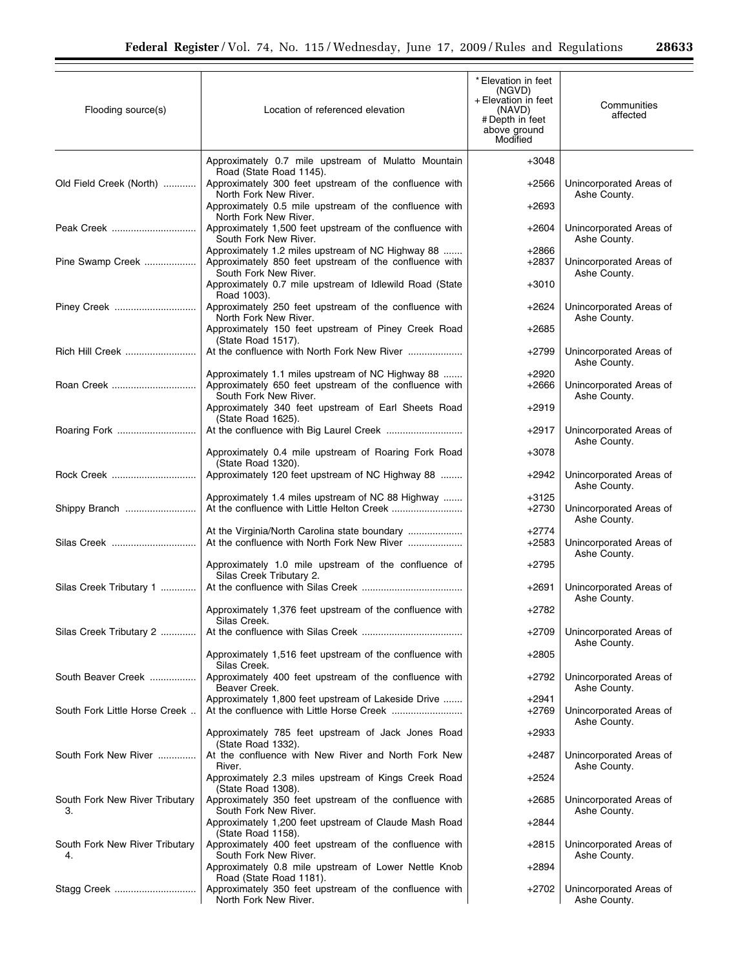| Flooding source(s)                   | Location of referenced elevation                                                                                                     | * Elevation in feet<br>(NGVD)<br>+ Elevation in feet<br>(NAVD)<br># Depth in feet<br>above ground<br>Modified | Communities<br>affected                 |
|--------------------------------------|--------------------------------------------------------------------------------------------------------------------------------------|---------------------------------------------------------------------------------------------------------------|-----------------------------------------|
|                                      | Approximately 0.7 mile upstream of Mulatto Mountain                                                                                  | $+3048$                                                                                                       |                                         |
| Old Field Creek (North)              | Road (State Road 1145).<br>Approximately 300 feet upstream of the confluence with                                                    | $+2566$                                                                                                       | Unincorporated Areas of<br>Ashe County. |
|                                      | North Fork New River.<br>Approximately 0.5 mile upstream of the confluence with<br>North Fork New River.                             | $+2693$                                                                                                       |                                         |
| Peak Creek                           | Approximately 1,500 feet upstream of the confluence with<br>South Fork New River.                                                    | $+2604$                                                                                                       | Unincorporated Areas of<br>Ashe County. |
| Pine Swamp Creek                     | Approximately 1.2 miles upstream of NC Highway 88<br>Approximately 850 feet upstream of the confluence with<br>South Fork New River. | $+2866$<br>$+2837$                                                                                            | Unincorporated Areas of<br>Ashe County. |
|                                      | Approximately 0.7 mile upstream of Idlewild Road (State<br>Road 1003).                                                               | $+3010$                                                                                                       |                                         |
| Piney Creek                          | Approximately 250 feet upstream of the confluence with<br>North Fork New River.                                                      | $+2624$                                                                                                       | Unincorporated Areas of<br>Ashe County. |
|                                      | Approximately 150 feet upstream of Piney Creek Road<br>(State Road 1517).                                                            | $+2685$                                                                                                       |                                         |
| Rich Hill Creek                      | At the confluence with North Fork New River                                                                                          | $+2799$                                                                                                       | Unincorporated Areas of<br>Ashe County. |
| Roan Creek                           | Approximately 1.1 miles upstream of NC Highway 88<br>Approximately 650 feet upstream of the confluence with<br>South Fork New River. | $+2920$<br>+2666                                                                                              | Unincorporated Areas of<br>Ashe County. |
|                                      | Approximately 340 feet upstream of Earl Sheets Road<br>(State Road 1625).                                                            | $+2919$                                                                                                       |                                         |
| Roaring Fork                         |                                                                                                                                      | $+2917$                                                                                                       | Unincorporated Areas of<br>Ashe County. |
|                                      | Approximately 0.4 mile upstream of Roaring Fork Road<br>(State Road 1320).                                                           | $+3078$                                                                                                       |                                         |
| Rock Creek                           | Approximately 120 feet upstream of NC Highway 88                                                                                     | +2942                                                                                                         | Unincorporated Areas of<br>Ashe County. |
| Shippy Branch                        | Approximately 1.4 miles upstream of NC 88 Highway                                                                                    | $+3125$<br>$+2730$                                                                                            | Unincorporated Areas of<br>Ashe County. |
| Silas Creek                          |                                                                                                                                      | +2774<br>$+2583$                                                                                              | Unincorporated Areas of<br>Ashe County. |
|                                      | Approximately 1.0 mile upstream of the confluence of<br>Silas Creek Tributary 2.                                                     | $+2795$                                                                                                       |                                         |
| Silas Creek Tributary 1              |                                                                                                                                      | $+2691$                                                                                                       | Unincorporated Areas of<br>Ashe County. |
|                                      | Approximately 1,376 feet upstream of the confluence with<br>Silas Creek.                                                             | $+2782$                                                                                                       |                                         |
| Silas Creek Tributary 2              |                                                                                                                                      | $+2709$                                                                                                       | Unincorporated Areas of<br>Ashe County. |
|                                      | Approximately 1,516 feet upstream of the confluence with<br>Silas Creek.                                                             | +2805                                                                                                         |                                         |
| South Beaver Creek                   | Approximately 400 feet upstream of the confluence with<br>Beaver Creek.                                                              | +2792                                                                                                         | Unincorporated Areas of<br>Ashe County. |
| South Fork Little Horse Creek        | Approximately 1,800 feet upstream of Lakeside Drive                                                                                  | +2941<br>+2769                                                                                                | Unincorporated Areas of                 |
|                                      | Approximately 785 feet upstream of Jack Jones Road                                                                                   | $+2933$                                                                                                       | Ashe County.                            |
| South Fork New River                 | (State Road 1332).<br>At the confluence with New River and North Fork New<br>River.                                                  | +2487                                                                                                         | Unincorporated Areas of<br>Ashe County. |
|                                      | Approximately 2.3 miles upstream of Kings Creek Road<br>(State Road 1308).                                                           | $+2524$                                                                                                       |                                         |
| South Fork New River Tributary<br>3. | Approximately 350 feet upstream of the confluence with<br>South Fork New River.                                                      | +2685                                                                                                         | Unincorporated Areas of<br>Ashe County. |
|                                      | Approximately 1,200 feet upstream of Claude Mash Road<br>(State Road 1158).                                                          | +2844                                                                                                         |                                         |
| South Fork New River Tributary<br>4. | Approximately 400 feet upstream of the confluence with<br>South Fork New River.                                                      | $+2815$                                                                                                       | Unincorporated Areas of<br>Ashe County. |
|                                      | Approximately 0.8 mile upstream of Lower Nettle Knob<br>Road (State Road 1181).                                                      | $+2894$                                                                                                       |                                         |
|                                      | Approximately 350 feet upstream of the confluence with<br>North Fork New River.                                                      | +2702                                                                                                         | Unincorporated Areas of<br>Ashe County. |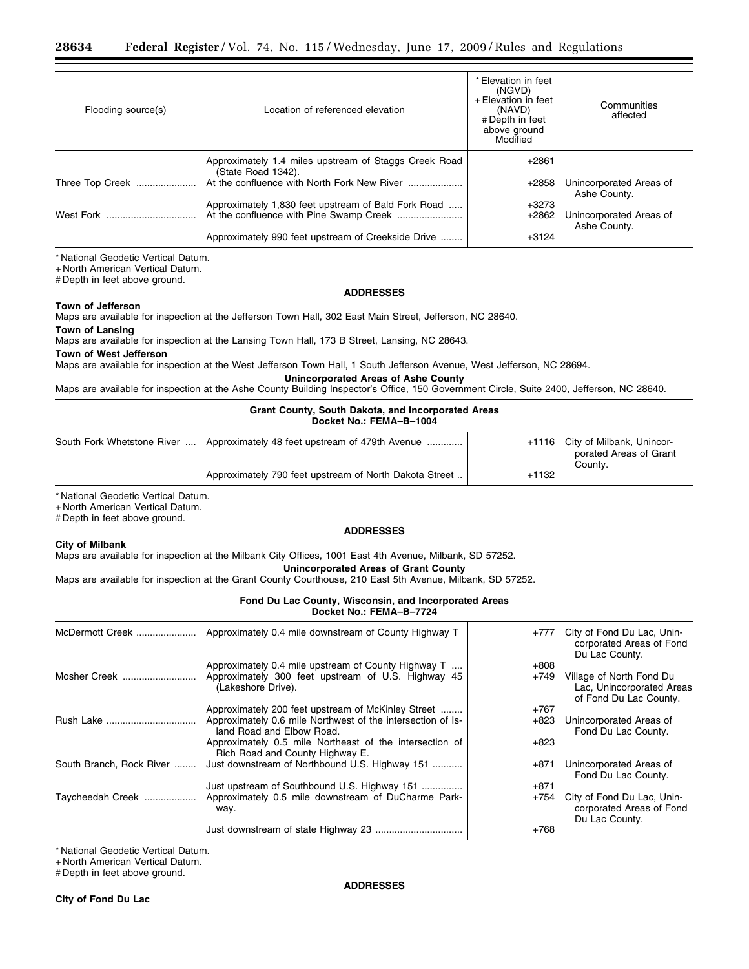| Flooding source(s) | Location of referenced elevation                      | * Elevation in feet<br>(NGVD)<br>+ Elevation in feet<br>(NAVD)<br># Depth in feet<br>above ground<br>Modified | Communities<br>affected                 |
|--------------------|-------------------------------------------------------|---------------------------------------------------------------------------------------------------------------|-----------------------------------------|
|                    | Approximately 1.4 miles upstream of Staggs Creek Road | $+2861$                                                                                                       |                                         |
| Three Top Creek    | (State Road 1342).                                    | $+2858$                                                                                                       | Unincorporated Areas of<br>Ashe County. |
|                    | Approximately 1,830 feet upstream of Bald Fork Road   | $+3273$                                                                                                       |                                         |
|                    |                                                       | $+2862$                                                                                                       | Unincorporated Areas of<br>Ashe County. |
|                    | Approximately 990 feet upstream of Creekside Drive    | $+3124$                                                                                                       |                                         |

\* National Geodetic Vertical Datum.

+ North American Vertical Datum.

# Depth in feet above ground.

### **ADDRESSES**

**Town of Jefferson**  Maps are available for inspection at the Jefferson Town Hall, 302 East Main Street, Jefferson, NC 28640.

# **Town of Lansing**

Maps are available for inspection at the Lansing Town Hall, 173 B Street, Lansing, NC 28643.

**Town of West Jefferson** 

Maps are available for inspection at the West Jefferson Town Hall, 1 South Jefferson Avenue, West Jefferson, NC 28694.

**Unincorporated Areas of Ashe County** 

Maps are available for inspection at the Ashe County Building Inspector's Office, 150 Government Circle, Suite 2400, Jefferson, NC 28640.

## **Grant County, South Dakota, and Incorporated Areas Docket No.: FEMA–B–1004**

| South Fork Whetstone River    Approximately 48 feet upstream of 479th Avenue |         | +1116   City of Milbank, Unincor-<br>porated Areas of Grant<br>County. |
|------------------------------------------------------------------------------|---------|------------------------------------------------------------------------|
| Approximately 790 feet upstream of North Dakota Street                       | $+1132$ |                                                                        |

\* National Geodetic Vertical Datum.

+ North American Vertical Datum.

# Depth in feet above ground.

## **City of Milbank**

## **ADDRESSES**

Maps are available for inspection at the Milbank City Offices, 1001 East 4th Avenue, Milbank, SD 57252.

**Unincorporated Areas of Grant County** 

Maps are available for inspection at the Grant County Courthouse, 210 East 5th Avenue, Milbank, SD 57252.

# **Fond Du Lac County, Wisconsin, and Incorporated Areas Docket No.: FEMA–B–7724**

| McDermott Creek          | Approximately 0.4 mile downstream of County Highway T                                      | $+777$ | City of Fond Du Lac, Unin-<br>corporated Areas of Fond<br>Du Lac County.        |
|--------------------------|--------------------------------------------------------------------------------------------|--------|---------------------------------------------------------------------------------|
| Mosher Creek             | Approximately 0.4 mile upstream of County Highway T                                        | $+808$ |                                                                                 |
|                          | Approximately 300 feet upstream of U.S. Highway 45<br>(Lakeshore Drive).                   | +749   | Village of North Fond Du<br>Lac, Unincorporated Areas<br>of Fond Du Lac County. |
|                          | Approximately 200 feet upstream of McKinley Street                                         | $+767$ |                                                                                 |
| Rush Lake                | Approximately 0.6 mile Northwest of the intersection of Is-<br>land Road and Elbow Road.   | $+823$ | Unincorporated Areas of<br>Fond Du Lac County.                                  |
|                          | Approximately 0.5 mile Northeast of the intersection of<br>Rich Road and County Highway E. | $+823$ |                                                                                 |
| South Branch, Rock River | Just downstream of Northbound U.S. Highway 151                                             | +871   | Unincorporated Areas of<br>Fond Du Lac County.                                  |
|                          | Just upstream of Southbound U.S. Highway 151                                               | $+871$ |                                                                                 |
| Taycheedah Creek         | Approximately 0.5 mile downstream of DuCharme Park-<br>way.                                | +754   | City of Fond Du Lac, Unin-<br>corporated Areas of Fond<br>Du Lac County.        |
|                          |                                                                                            | $+768$ |                                                                                 |

\* National Geodetic Vertical Datum.

+ North American Vertical Datum.

# Depth in feet above ground.